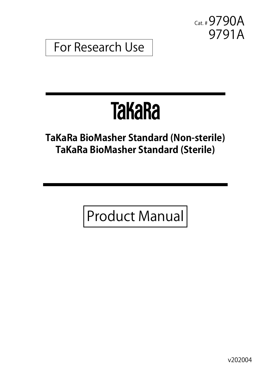Cat. #9790A 9791A

For Research Use

# **TakaRa**

# **TaKaRa BioMasher Standard (Non-sterile) TaKaRa BioMasher Standard (Sterile)**

Product Manual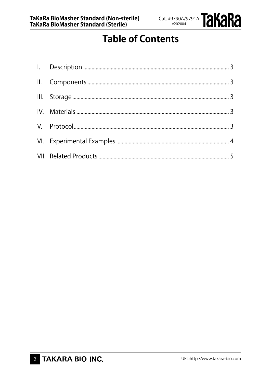

# **Table of Contents**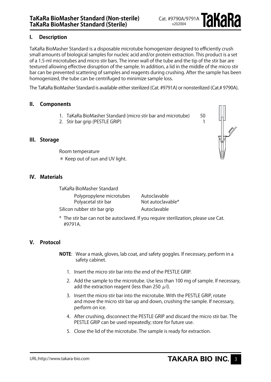# **I. Description**

TaKaRa BioMasher Standard is a disposable microtube homogenizer designed to efficiently crush small amounts of biological samples for nucleic acid and/or protein extraction. This product is a set of a 1.5-ml microtubes and micro stir bars. The inner wall of the tube and the tip of the stir bar are textured allowing effective disruption of the sample. In addition, a lid in the middle of the micro stir bar can be prevented scattering of samples and reagents during crushing. After the sample has been homogenized, the tube can be centrifuged to minimize sample loss.

The TaKaRa BioMasher Standard is available either sterilized (Cat. #9791A) or nonsterilized (Cat.# 9790A).

## **II. Components**

- 1. TaKaRa BioMasher Standard (micro stir bar and microtube) 50
- 2. Stir bar grip (PESTLE GRIP) 1

#### **III. Storage**

Room temperature \* Keep out of sun and UV light.

#### **IV. Materials**

TaKaRa BioMasher Standard

Polypropylene microtubes Autoclavable<br>Polyacetal stir bar Not autoclavable\* Polyacetal stir bar

Silicon rubber stir bar grip Theodie Autoclavable

\* The stir bar can not be autoclaved. If you require sterilization, please use Cat. #9791A.

# **V. Protocol**

- **NOTE**: Wear a mask, gloves, lab coat, and safety goggles. If necessary, perform in a safety cabinet.
	- 1. Insert the micro stir bar into the end of the PESTLE GRIP.
	- 2. Add the sample to the microtube. Use less than 100 mg of sample. If necessary, add the extraction reagent (less than 250  $\mu$ l).
	- 3. Insert the micro stir bar into the microtube. With the PESTLE GRIP, rotate and move the micro stir bar up and down, crushing the sample. If necessary, perform on ice.
	- 4. After crushing, disconnect the PESTLE GRIP and discard the micro stir bar. The PESTLE GRIP can be used repeatedly; store for future use.
	- 5. Close the lid of the microtube. The sample is ready for extraction.

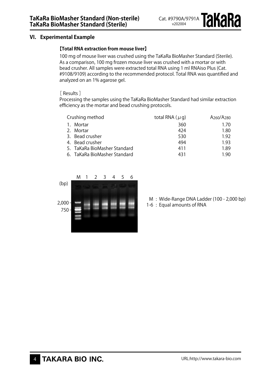# **VI. Experimental Example**

#### **【Total RNA extraction from mouse liver】**

100 mg of mouse liver was crushed using the TaKaRa BioMasher Standard (Sterile). As a comparison, 100 mg frozen mouse liver was crushed with a mortar or with bead crusher. All samples were extracted total RNA using 1 ml RNAiso Plus (Cat. #9108/9109) according to the recommended protocol. Total RNA was quantified and analyzed on an 1% agarose gel.

#### [ Results ]

Processing the samples using the TaKaRa BioMasher Standard had similar extraction efficiency as the mortar and bead crushing protocols.

| Crushing method |                              | total RNA $(\mu q)$ | A <sub>260</sub> /A <sub>280</sub> |
|-----------------|------------------------------|---------------------|------------------------------------|
|                 | 1. Mortar                    | 360                 | 1.70                               |
|                 | 2. Mortar                    | 424                 | 1.80                               |
|                 | 3. Bead crusher              | 530                 | 1.92                               |
|                 | 4. Bead crusher              | 494                 | 1.93                               |
|                 | 5. TaKaRa BioMasher Standard | 411                 | 1.89                               |
|                 | 6. TaKaRa BioMasher Standard | 431                 | 1.90                               |



M : Wide-Range DNA Ladder (100 - 2,000 bp)

1-6 : Equal amounts of RNA